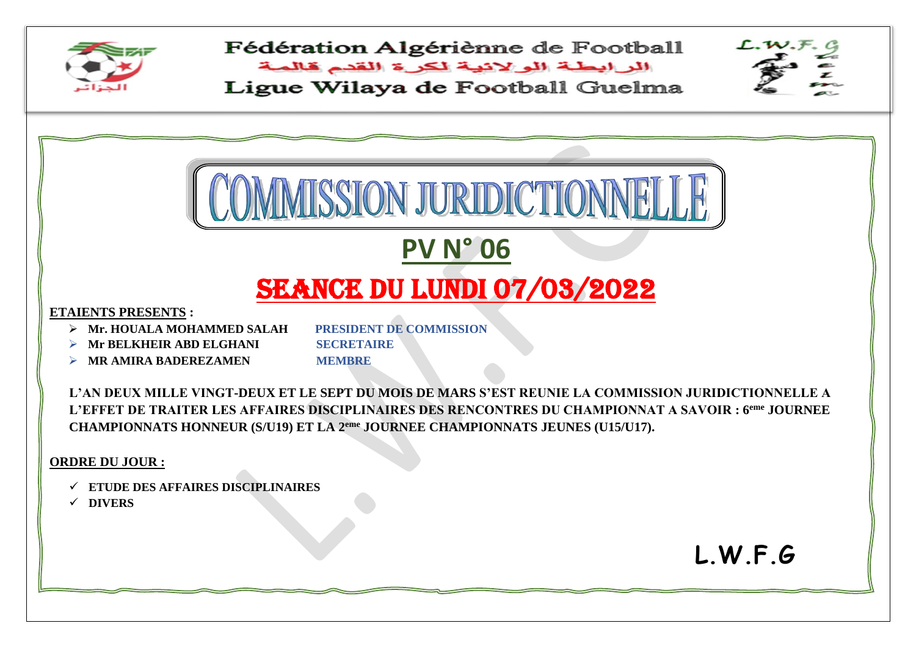

Fédération Algériènne de Football

البرابطة الولانية لكرة القدم قالمة Ligue Wilaya de Football Guelma



**L.W.F.G**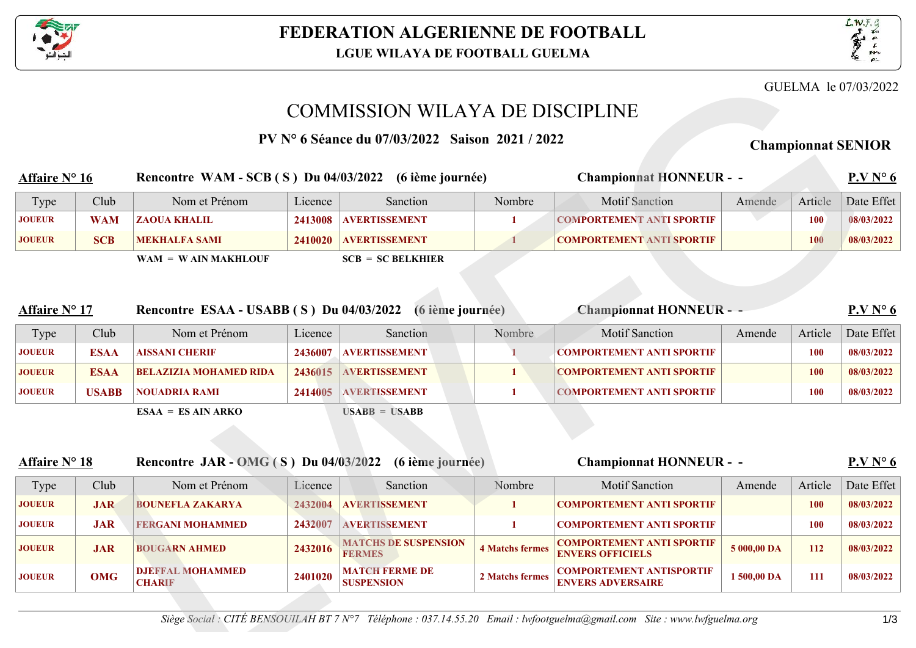



## COMMISSION WILAYA DE DISCIPLINE

|                                                                                         |              |                                                        |         |                                                |                        |                                                             |             |            | GUELMA le 07/03/2022                                                                      |
|-----------------------------------------------------------------------------------------|--------------|--------------------------------------------------------|---------|------------------------------------------------|------------------------|-------------------------------------------------------------|-------------|------------|-------------------------------------------------------------------------------------------|
|                                                                                         |              |                                                        |         | <b>COMMISSION WILAYA DE DISCIPLINE</b>         |                        |                                                             |             |            |                                                                                           |
|                                                                                         |              |                                                        |         | PV N 6 Séance du 07/03/2022 Saison 2021 / 2022 |                        |                                                             |             |            | <b>Championnat SENIOR</b>                                                                 |
|                                                                                         |              |                                                        |         |                                                |                        |                                                             |             |            |                                                                                           |
| <b>Affaire N</b> 16                                                                     |              | Rencontre WAM - SCB (S) Du 04/03/2022 (6 ième journée) |         |                                                |                        | <b>Championnat HONNEUR - -</b>                              |             |            | P.V N 6                                                                                   |
| Type                                                                                    | Club         | Nom et Prénom                                          | Licence | Sanction                                       | Nombre                 | <b>Motif Sanction</b>                                       | Amende      | Article    | Date Effet                                                                                |
| <b>JOUEUR</b>                                                                           | <b>WAM</b>   | <b>ZAOUA KHALIL</b>                                    | 2413008 | <b>AVERTISSEMENT</b>                           | $\mathbf{1}$           | <b>COMPORTEMENT ANTI SPORTIF</b>                            |             | <b>100</b> | 08/03/2022                                                                                |
| <b>JOUEUR</b>                                                                           | <b>SCB</b>   | <b>MEKHALFA SAMI</b>                                   | 2410020 | <b>AVERTISSEMENT</b>                           |                        | <b>COMPORTEMENT ANTI SPORTIF</b>                            |             | <b>100</b> | 08/03/2022                                                                                |
|                                                                                         |              | $WAM = WAIN MAKHLOUF$                                  |         | $SCB = SC BELKHIER$                            |                        |                                                             |             |            |                                                                                           |
|                                                                                         |              |                                                        |         |                                                |                        |                                                             |             |            |                                                                                           |
|                                                                                         |              |                                                        |         |                                                |                        |                                                             |             |            |                                                                                           |
| <b>Affaire N</b> 17                                                                     |              | Rencontre ESAA - USABB (S) Du 04/03/2022               |         | (6 ième journée)                               |                        | <b>Championnat HONNEUR - -</b>                              |             |            | P.V N 6                                                                                   |
| Type                                                                                    | Club         | Nom et Prénom                                          | Licence | Sanction                                       | Nombre                 | <b>Motif Sanction</b>                                       | Amende      | Article    | Date Effet                                                                                |
| <b>JOUEUR</b>                                                                           | <b>ESAA</b>  | <b>AISSANI CHERIF</b>                                  |         | 2436007 AVERTISSEMENT                          |                        | <b>COMPORTEMENT ANTI SPORTIF</b>                            |             | <b>100</b> | 08/03/2022                                                                                |
| <b>JOUEUR</b>                                                                           | <b>ESAA</b>  | <b>BELAZIZIA MOHAMED RIDA</b>                          | 2436015 | <b>AVERTISSEMENT</b>                           | 1                      | <b>COMPORTEMENT ANTI SPORTIF</b>                            |             | <b>100</b> | 08/03/2022                                                                                |
|                                                                                         |              |                                                        |         |                                                |                        |                                                             |             |            |                                                                                           |
|                                                                                         | <b>USABB</b> | <b>NOUADRIA RAMI</b>                                   |         | 2414005 AVERTISSEMENT                          | 1                      | <b>COMPORTEMENT ANTI SPORTIF</b>                            |             | <b>100</b> |                                                                                           |
|                                                                                         |              | $ESAA = ESAIN ARKO$                                    |         | $USABB = USABB$                                |                        |                                                             |             |            |                                                                                           |
|                                                                                         |              |                                                        |         |                                                |                        |                                                             |             |            |                                                                                           |
|                                                                                         |              |                                                        |         |                                                |                        |                                                             |             |            |                                                                                           |
|                                                                                         |              | Rencontre JAR - $OMG(S)$ Du 04/03/2022                 |         | (6 ième journée)                               |                        | <b>Championnat HONNEUR - -</b>                              |             |            |                                                                                           |
| Type                                                                                    | Club         | Nom et Prénom                                          | Licence | Sanction                                       | Nombre                 | <b>Motif Sanction</b>                                       | Amende      | Article    |                                                                                           |
|                                                                                         | <b>JAR</b>   | <b>BOUNEFLA ZAKARYA</b>                                | 2432004 | <b>AVERTISSEMENT</b>                           | 1                      | <b>COMPORTEMENT ANTI SPORTIF</b>                            |             | <b>100</b> |                                                                                           |
|                                                                                         | <b>JAR</b>   | <b>FERGANI MOHAMMED</b>                                | 2432007 | <b>AVERTISSEMENT</b>                           | 1                      | <b>COMPORTEMENT ANTI SPORTIF</b>                            |             | <b>100</b> |                                                                                           |
| <b>JOUEUR</b>                                                                           | <b>JAR</b>   | <b>BOUGARN AHMED</b>                                   |         | 2432016 MATCHS DE SUSPENSION<br><b>FERMES</b>  | <b>4 Matchs fermes</b> | <b>COMPORTEMENT ANTI SPORTIF</b><br><b>ENVERS OFFICIELS</b> | 5 000,00 DA | 112        |                                                                                           |
| <b>JOUEUR</b><br><b>Affaire N</b> 18<br><b>JOUEUR</b><br><b>JOUEUR</b><br><b>JOUEUR</b> | <b>OMG</b>   | <b>DJEFFAL MOHAMMED</b><br><b>CHARIF</b>               | 2401020 | <b>MATCH FERME DE</b><br><b>SUSPENSION</b>     | <b>2 Matchs fermes</b> | <b>COMPORTEMENT ANTISPORTIF</b><br><b>ENVERS ADVERSAIRE</b> | 1 500,00 DA | 111        | 08/03/2022<br>P.VN6<br>Date Effet<br>08/03/2022<br>08/03/2022<br>08/03/2022<br>08/03/2022 |

| <b>Affaire N</b> 18 |               |            | Rencontre JAR - OMG (S) Du 04/03/2022 (6 ième journée) |         |                                              | <b>Championnat HONNEUR - -</b> |                                                      |             |            | P.VN6      |  |
|---------------------|---------------|------------|--------------------------------------------------------|---------|----------------------------------------------|--------------------------------|------------------------------------------------------|-------------|------------|------------|--|
|                     | Type          | Club       | Nom et Prénom                                          | Licence | Sanction                                     | Nombre                         | <b>Motif Sanction</b>                                | Amende      | Article    | Date Effet |  |
|                     | <b>JOUEUR</b> | <b>JAR</b> | <b>BOUNEFLA ZAKARYA</b>                                |         | 2432004 AVERTISSEMENT                        |                                | COMPORTEMENT ANTI SPORTIF                            |             | <b>100</b> | 08/03/2022 |  |
|                     | <b>JOUEUR</b> | JAR.       | <b>FERGANI MOHAMMED</b>                                | 2432007 | <b>AVERTISSEMENT</b>                         |                                | COMPORTEMENT ANTI SPORTIF                            |             | 100        | 08/03/2022 |  |
|                     | <b>JOUEUR</b> | <b>JAR</b> | <b>BOUGARN AHMED</b>                                   | 2432016 | <b>MATCHS DE SUSPENSION</b><br><b>FERMES</b> | 4 Matchs fermes                | COMPORTEMENT ANTI SPORTIF<br><b>ENVERS OFFICIELS</b> | 5 000,00 DA | 112        | 08/03/2022 |  |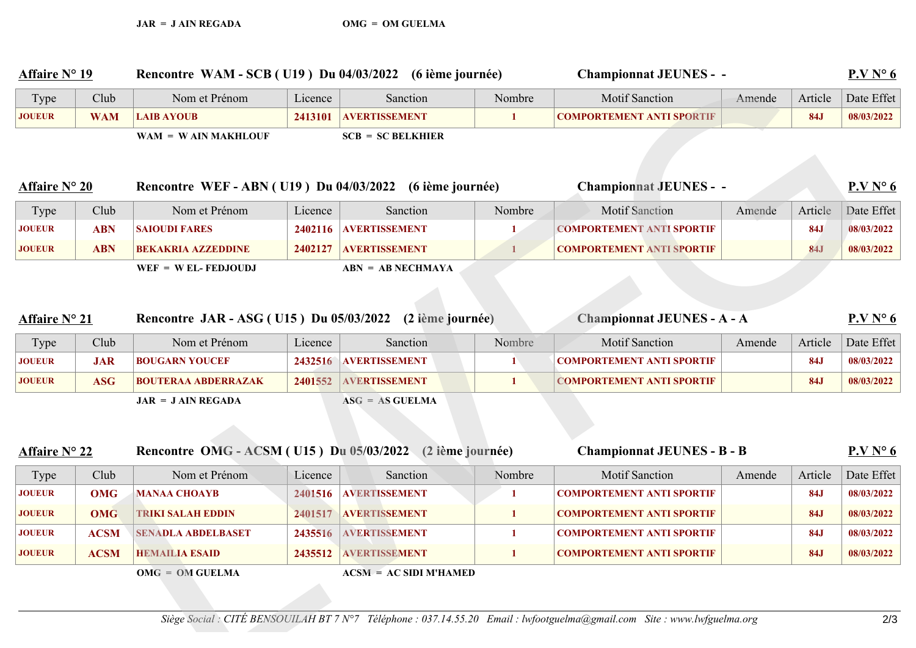| <b>Affaire N</b> 19 |             | Rencontre WAM - SCB (U19) Du 04/03/2022 (6 ième journée)  |         |                          |              | <b>Championnat JEUNES - -</b>                                                                                            |        |            | P.VN6      |
|---------------------|-------------|-----------------------------------------------------------|---------|--------------------------|--------------|--------------------------------------------------------------------------------------------------------------------------|--------|------------|------------|
| Type                | Club        | Nom et Prénom                                             | Licence | Sanction                 | Nombre       | <b>Motif Sanction</b>                                                                                                    | Amende | Article    | Date Effet |
| <b>JOUEUR</b>       | <b>WAM</b>  | <b>LAIB AYOUB</b>                                         | 2413101 | <b>AVERTISSEMENT</b>     | 1            | <b>COMPORTEMENT ANTI SPORTIF</b>                                                                                         |        | <b>84J</b> | 08/03/2022 |
|                     |             | $WAM = WAIN MAKHLOUF$                                     |         | $SCB = SC BELKHIER$      |              |                                                                                                                          |        |            |            |
| <b>Affaire N 20</b> |             | Rencontre WEF - ABN (U19) Du 04/03/2022 (6 ième journée)  |         |                          |              | <b>Championnat JEUNES - -</b>                                                                                            |        |            | P.VN6      |
| Type                | Club        | Nom et Prénom                                             | Licence | Sanction                 | Nombre       | <b>Motif Sanction</b>                                                                                                    | Amende | Article    | Date Effet |
| <b>JOUEUR</b>       | <b>ABN</b>  | <b>SAIOUDI FARES</b>                                      |         | 2402116 AVERTISSEMENT    | $\mathbf{1}$ | <b>COMPORTEMENT ANTI SPORTIF</b>                                                                                         |        | <b>84J</b> | 08/03/2022 |
| <b>JOUEUR</b>       | <b>ABN</b>  | <b>BEKAKRIA AZZEDDINE</b>                                 | 2402127 | <b>AVERTISSEMENT</b>     | 1            | <b>COMPORTEMENT ANTI SPORTIF</b>                                                                                         |        | <b>84J</b> | 08/03/2022 |
|                     |             | $WEF = WEL - FEDJOUDJ$                                    |         | $ABN = AB NECHMAXA$      |              |                                                                                                                          |        |            |            |
|                     |             |                                                           |         |                          |              |                                                                                                                          |        |            |            |
| <b>Affaire N</b> 21 |             | Rencontre JAR - ASG (U15) Du 05/03/2022 (2 ième journée)  |         |                          |              | <b>Championnat JEUNES - A - A</b>                                                                                        |        |            | P.VN6      |
| Type                | Club        | Nom et Prénom                                             | Licence | Sanction                 | Nombre       | <b>Motif Sanction</b>                                                                                                    | Amende | Article    | Date Effet |
| <b>JOUEUR</b>       | <b>JAR</b>  | <b>BOUGARN YOUCEF</b>                                     | 2432516 | <b>AVERTISSEMENT</b>     | 1            | <b>COMPORTEMENT ANTI SPORTIF</b>                                                                                         |        | <b>84J</b> | 08/03/2022 |
| <b>JOUEUR</b>       | <b>ASG</b>  | <b>BOUTERAA ABDERRAZAK</b>                                | 2401552 | AVERTISSEMENT            | 1            | <b>COMPORTEMENT ANTI SPORTIF</b>                                                                                         |        | <b>84J</b> | 08/03/2022 |
|                     |             | $JAR = JAIN REGADA$                                       |         | $ASG = AS GUELMA$        |              |                                                                                                                          |        |            |            |
|                     |             |                                                           |         |                          |              |                                                                                                                          |        |            |            |
| <b>Affaire N 22</b> |             | Rencontre OMG - ACSM (U15) Du 05/03/2022 (2 ième journée) |         |                          |              | <b>Championnat JEUNES - B - B</b>                                                                                        |        |            | P.VN6      |
| Type                | Club        | Nom et Prénom                                             | Licence | Sanction                 | Nombre       | <b>Motif Sanction</b>                                                                                                    | Amende | Article    | Date Effet |
| <b>JOUEUR</b>       | <b>OMG</b>  | <b>MANAA CHOAYB</b>                                       | 2401516 | <b>AVERTISSEMENT</b>     | 1            | <b>COMPORTEMENT ANTI SPORTIF</b>                                                                                         |        | <b>84J</b> | 08/03/2022 |
| <b>JOUEUR</b>       | <b>OMG</b>  | <b>TRIKI SALAH EDDIN</b>                                  | 2401517 | <b>AVERTISSEMENT</b>     | 1            | <b>COMPORTEMENT ANTI SPORTIF</b>                                                                                         |        | <b>84J</b> | 08/03/2022 |
| <b>JOUEUR</b>       | <b>ACSM</b> | <b>SENADLA ABDELBASET</b>                                 | 2435516 | <b>AVERTISSEMENT</b>     | 1            | <b>COMPORTEMENT ANTI SPORTIF</b>                                                                                         |        | <b>84J</b> | 08/03/2022 |
| <b>JOUEUR</b>       | <b>ACSM</b> | <b>HEMAILIA ESAID</b>                                     |         | 2435512 AVERTISSEMENT    | 1            | <b>COMPORTEMENT ANTI SPORTIF</b>                                                                                         |        | <b>84J</b> | 08/03/2022 |
|                     |             | $OMG = OM GUELMA$                                         |         | $ACSM = AC SIDI M'HAMED$ |              |                                                                                                                          |        |            |            |
|                     |             |                                                           |         |                          |              | Siège Social : CITÉ BENSOUILAH BT 7 N 7 Téléphone : 037.14.55.20 Email : lwfootguelma@gmail.com Site : www.lwfguelma.org |        |            | 2/3        |
|                     |             |                                                           |         |                          |              |                                                                                                                          |        |            |            |